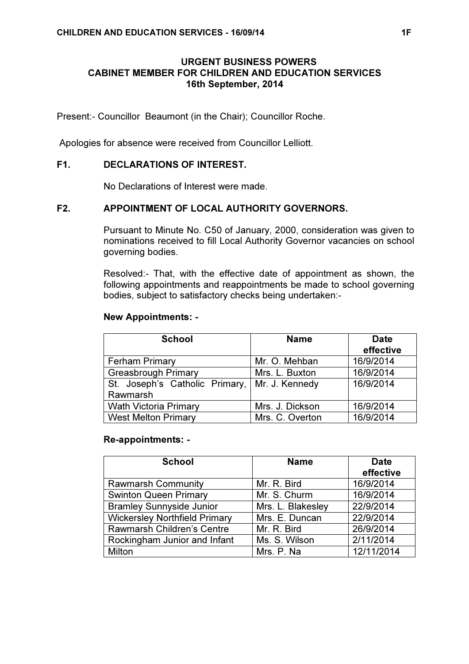# URGENT BUSINESS POWERS CABINET MEMBER FOR CHILDREN AND EDUCATION SERVICES 16th September, 2014

Present:- Councillor Beaumont (in the Chair); Councillor Roche.

Apologies for absence were received from Councillor Lelliott.

## F1. DECLARATIONS OF INTEREST.

No Declarations of Interest were made.

## F2. APPOINTMENT OF LOCAL AUTHORITY GOVERNORS.

 Pursuant to Minute No. C50 of January, 2000, consideration was given to nominations received to fill Local Authority Governor vacancies on school governing bodies.

Resolved:- That, with the effective date of appointment as shown, the following appointments and reappointments be made to school governing bodies, subject to satisfactory checks being undertaken:-

### New Appointments: -

| <b>School</b>                                   | <b>Name</b>     | <b>Date</b> |
|-------------------------------------------------|-----------------|-------------|
|                                                 |                 | effective   |
| <b>Ferham Primary</b>                           | Mr. O. Mehban   | 16/9/2014   |
| <b>Greasbrough Primary</b>                      | Mrs. L. Buxton  | 16/9/2014   |
| St. Joseph's Catholic Primary,   Mr. J. Kennedy |                 | 16/9/2014   |
| Rawmarsh                                        |                 |             |
| <b>Wath Victoria Primary</b>                    | Mrs. J. Dickson | 16/9/2014   |
| <b>West Melton Primary</b>                      | Mrs. C. Overton | 16/9/2014   |

### Re-appointments: -

| <b>School</b>                        | <b>Name</b>       | <b>Date</b><br>effective |
|--------------------------------------|-------------------|--------------------------|
| <b>Rawmarsh Community</b>            | Mr. R. Bird       | 16/9/2014                |
| <b>Swinton Queen Primary</b>         | Mr. S. Churm      | 16/9/2014                |
| <b>Bramley Sunnyside Junior</b>      | Mrs. L. Blakesley | 22/9/2014                |
| <b>Wickersley Northfield Primary</b> | Mrs. E. Duncan    | 22/9/2014                |
| Rawmarsh Children's Centre           | Mr. R. Bird       | 26/9/2014                |
| Rockingham Junior and Infant         | Ms. S. Wilson     | 2/11/2014                |
| Milton                               | Mrs. P. Na        | 12/11/2014               |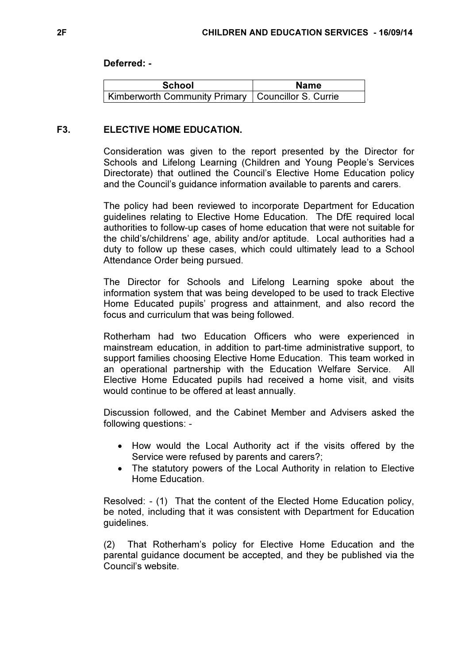#### Deferred: -

| <b>School</b>                                        | <b>Name</b> |
|------------------------------------------------------|-------------|
| Kimberworth Community Primary   Councillor S. Currie |             |

#### F3. ELECTIVE HOME EDUCATION.

 Consideration was given to the report presented by the Director for Schools and Lifelong Learning (Children and Young People's Services Directorate) that outlined the Council's Elective Home Education policy and the Council's guidance information available to parents and carers.

The policy had been reviewed to incorporate Department for Education guidelines relating to Elective Home Education. The DfE required local authorities to follow-up cases of home education that were not suitable for the child's/childrens' age, ability and/or aptitude. Local authorities had a duty to follow up these cases, which could ultimately lead to a School Attendance Order being pursued.

The Director for Schools and Lifelong Learning spoke about the information system that was being developed to be used to track Elective Home Educated pupils' progress and attainment, and also record the focus and curriculum that was being followed.

Rotherham had two Education Officers who were experienced in mainstream education, in addition to part-time administrative support, to support families choosing Elective Home Education. This team worked in an operational partnership with the Education Welfare Service. All Elective Home Educated pupils had received a home visit, and visits would continue to be offered at least annually.

Discussion followed, and the Cabinet Member and Advisers asked the following questions: -

- How would the Local Authority act if the visits offered by the Service were refused by parents and carers?;
- The statutory powers of the Local Authority in relation to Elective Home Education.

Resolved: - (1) That the content of the Elected Home Education policy, be noted, including that it was consistent with Department for Education guidelines.

(2) That Rotherham's policy for Elective Home Education and the parental guidance document be accepted, and they be published via the Council's website.